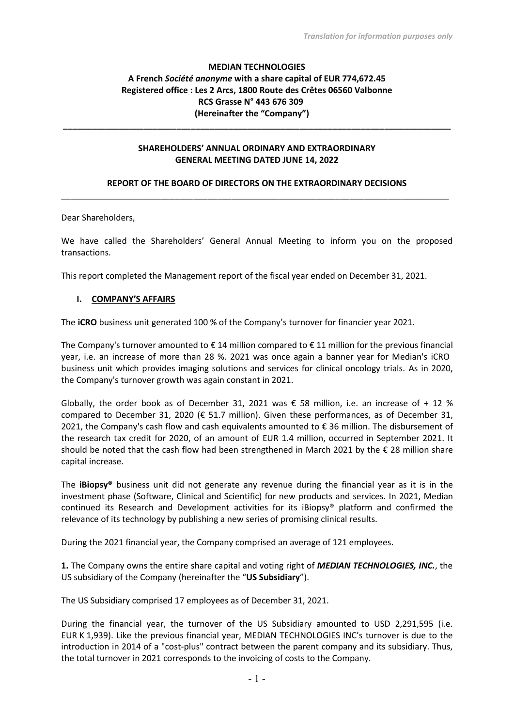# **MEDIAN TECHNOLOGIES A French** *Société anonyme* **with a share capital of EUR 774,672.45 Registered office : Les 2 Arcs, 1800 Route des Crêtes 06560 Valbonne RCS Grasse N° 443 676 309 (Hereinafter the "Company")**

### **SHAREHOLDERS' ANNUAL ORDINARY AND EXTRAORDINARY GENERAL MEETING DATED JUNE 14, 2022**

**\_\_\_\_\_\_\_\_\_\_\_\_\_\_\_\_\_\_\_\_\_\_\_\_\_\_\_\_\_\_\_\_\_\_\_\_\_\_\_\_\_\_\_\_\_\_\_\_\_\_\_\_\_\_\_\_\_\_\_\_\_\_\_\_\_\_\_\_\_\_\_\_\_\_\_\_\_\_\_\_\_\_**

## **REPORT OF THE BOARD OF DIRECTORS ON THE EXTRAORDINARY DECISIONS** \_\_\_\_\_\_\_\_\_\_\_\_\_\_\_\_\_\_\_\_\_\_\_\_\_\_\_\_\_\_\_\_\_\_\_\_\_\_\_\_\_\_\_\_\_\_\_\_\_\_\_\_\_\_\_\_\_\_\_\_\_\_\_\_\_\_\_\_\_\_\_\_\_\_\_\_\_\_\_\_\_\_

Dear Shareholders,

We have called the Shareholders' General Annual Meeting to inform you on the proposed transactions.

This report completed the Management report of the fiscal year ended on December 31, 2021.

#### **I. COMPANY'S AFFAIRS**

The **iCRO** business unit generated 100 % of the Company's turnover for financier year 2021.

The Company's turnover amounted to  $\epsilon$  14 million compared to  $\epsilon$  11 million for the previous financial year, i.e. an increase of more than 28 %. 2021 was once again a banner year for Median's iCRO business unit which provides imaging solutions and services for clinical oncology trials. As in 2020, the Company's turnover growth was again constant in 2021.

Globally, the order book as of December 31, 2021 was  $\epsilon$  58 million, i.e. an increase of + 12 % compared to December 31, 2020 ( $\epsilon$  51.7 million). Given these performances, as of December 31, 2021, the Company's cash flow and cash equivalents amounted to € 36 million. The disbursement of the research tax credit for 2020, of an amount of EUR 1.4 million, occurred in September 2021. It should be noted that the cash flow had been strengthened in March 2021 by the € 28 million share capital increase.

The **iBiopsy®** business unit did not generate any revenue during the financial year as it is in the investment phase (Software, Clinical and Scientific) for new products and services. In 2021, Median continued its Research and Development activities for its iBiopsy® platform and confirmed the relevance of its technology by publishing a new series of promising clinical results.

During the 2021 financial year, the Company comprised an average of 121 employees.

**1.** The Company owns the entire share capital and voting right of *MEDIAN TECHNOLOGIES, INC.*, the US subsidiary of the Company (hereinafter the "**US Subsidiary**").

The US Subsidiary comprised 17 employees as of December 31, 2021.

During the financial year, the turnover of the US Subsidiary amounted to USD 2,291,595 (i.e. EUR K 1,939). Like the previous financial year, MEDIAN TECHNOLOGIES INC's turnover is due to the introduction in 2014 of a "cost-plus" contract between the parent company and its subsidiary. Thus, the total turnover in 2021 corresponds to the invoicing of costs to the Company.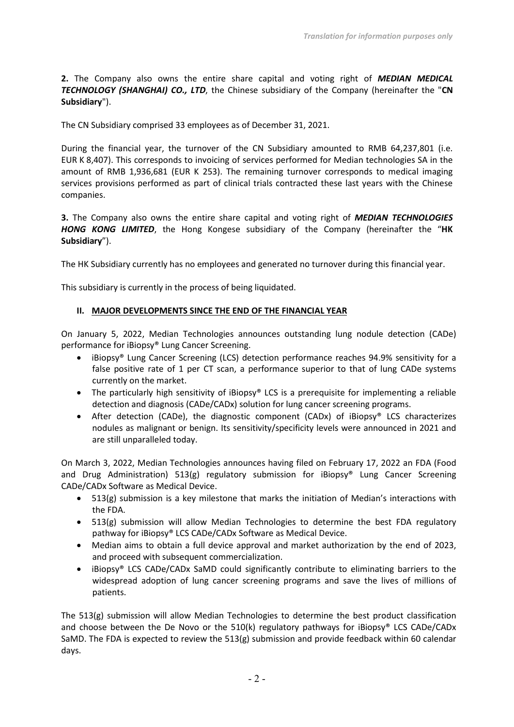**2.** The Company also owns the entire share capital and voting right of *MEDIAN MEDICAL TECHNOLOGY (SHANGHAI) CO., LTD*, the Chinese subsidiary of the Company (hereinafter the "**CN Subsidiary**").

The CN Subsidiary comprised 33 employees as of December 31, 2021.

During the financial year, the turnover of the CN Subsidiary amounted to RMB 64,237,801 (i.e. EUR K 8,407). This corresponds to invoicing of services performed for Median technologies SA in the amount of RMB 1,936,681 (EUR K 253). The remaining turnover corresponds to medical imaging services provisions performed as part of clinical trials contracted these last years with the Chinese companies.

**3.** The Company also owns the entire share capital and voting right of *MEDIAN TECHNOLOGIES HONG KONG LIMITED*, the Hong Kongese subsidiary of the Company (hereinafter the "**HK Subsidiary**").

The HK Subsidiary currently has no employees and generated no turnover during this financial year.

This subsidiary is currently in the process of being liquidated.

### **II. MAJOR DEVELOPMENTS SINCE THE END OF THE FINANCIAL YEAR**

On January 5, 2022, Median Technologies announces outstanding lung nodule detection (CADe) performance for iBiopsy® Lung Cancer Screening.

- iBiopsy® Lung Cancer Screening (LCS) detection performance reaches 94.9% sensitivity for a false positive rate of 1 per CT scan, a performance superior to that of lung CADe systems currently on the market.
- The particularly high sensitivity of iBiopsy® LCS is a prerequisite for implementing a reliable detection and diagnosis (CADe/CADx) solution for lung cancer screening programs.
- After detection (CADe), the diagnostic component (CADx) of iBiopsy<sup>®</sup> LCS characterizes nodules as malignant or benign. Its sensitivity/specificity levels were announced in 2021 and are still unparalleled today.

On March 3, 2022, Median Technologies announces having filed on February 17, 2022 an FDA (Food and Drug Administration) 513(g) regulatory submission for iBiopsy® Lung Cancer Screening CADe/CADx Software as Medical Device.

- 513(g) submission is a key milestone that marks the initiation of Median's interactions with the FDA.
- 513(g) submission will allow Median Technologies to determine the best FDA regulatory pathway for iBiopsy® LCS CADe/CADx Software as Medical Device.
- Median aims to obtain a full device approval and market authorization by the end of 2023, and proceed with subsequent commercialization.
- iBiopsy® LCS CADe/CADx SaMD could significantly contribute to eliminating barriers to the widespread adoption of lung cancer screening programs and save the lives of millions of patients.

The 513(g) submission will allow Median Technologies to determine the best product classification and choose between the De Novo or the 510(k) regulatory pathways for iBiopsy® LCS CADe/CADx SaMD. The FDA is expected to review the 513(g) submission and provide feedback within 60 calendar days.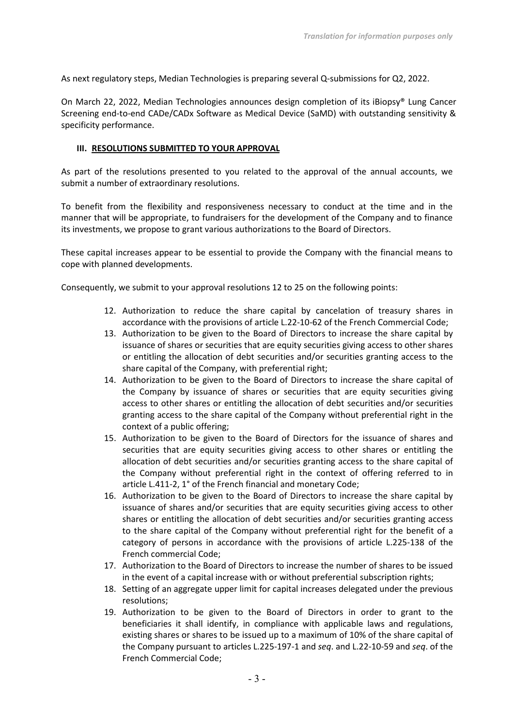As next regulatory steps, Median Technologies is preparing several Q-submissions for Q2, 2022.

On March 22, 2022, Median Technologies announces design completion of its iBiopsy® Lung Cancer Screening end-to-end CADe/CADx Software as Medical Device (SaMD) with outstanding sensitivity & specificity performance.

### **III. RESOLUTIONS SUBMITTED TO YOUR APPROVAL**

As part of the resolutions presented to you related to the approval of the annual accounts, we submit a number of extraordinary resolutions.

To benefit from the flexibility and responsiveness necessary to conduct at the time and in the manner that will be appropriate, to fundraisers for the development of the Company and to finance its investments, we propose to grant various authorizations to the Board of Directors.

These capital increases appear to be essential to provide the Company with the financial means to cope with planned developments.

Consequently, we submit to your approval resolutions 12 to 25 on the following points:

- 12. Authorization to reduce the share capital by cancelation of treasury shares in accordance with the provisions of article L.22-10-62 of the French Commercial Code;
- 13. Authorization to be given to the Board of Directors to increase the share capital by issuance of shares or securities that are equity securities giving access to other shares or entitling the allocation of debt securities and/or securities granting access to the share capital of the Company, with preferential right;
- 14. Authorization to be given to the Board of Directors to increase the share capital of the Company by issuance of shares or securities that are equity securities giving access to other shares or entitling the allocation of debt securities and/or securities granting access to the share capital of the Company without preferential right in the context of a public offering;
- 15. Authorization to be given to the Board of Directors for the issuance of shares and securities that are equity securities giving access to other shares or entitling the allocation of debt securities and/or securities granting access to the share capital of the Company without preferential right in the context of offering referred to in article L.411-2, 1° of the French financial and monetary Code;
- 16. Authorization to be given to the Board of Directors to increase the share capital by issuance of shares and/or securities that are equity securities giving access to other shares or entitling the allocation of debt securities and/or securities granting access to the share capital of the Company without preferential right for the benefit of a category of persons in accordance with the provisions of article L.225-138 of the French commercial Code;
- 17. Authorization to the Board of Directors to increase the number of shares to be issued in the event of a capital increase with or without preferential subscription rights;
- 18. Setting of an aggregate upper limit for capital increases delegated under the previous resolutions;
- 19. Authorization to be given to the Board of Directors in order to grant to the beneficiaries it shall identify, in compliance with applicable laws and regulations, existing shares or shares to be issued up to a maximum of 10% of the share capital of the Company pursuant to articles L.225-197-1 and *seq*. and L.22-10-59 and *seq*. of the French Commercial Code;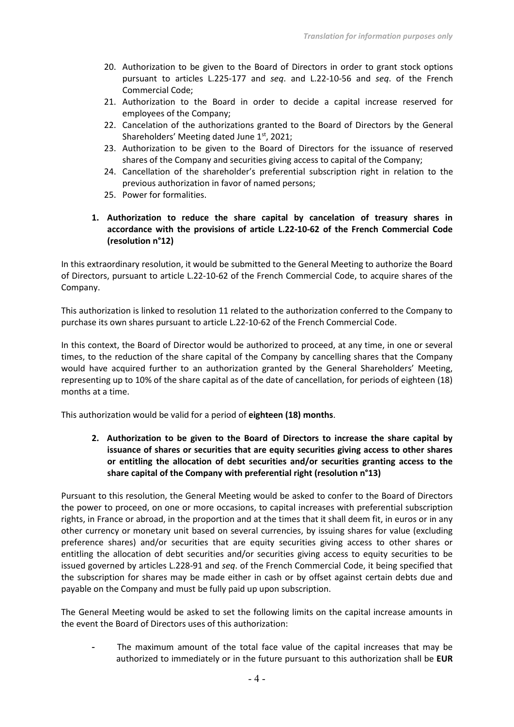- 20. Authorization to be given to the Board of Directors in order to grant stock options pursuant to articles L.225-177 and *seq*. and L.22-10-56 and *seq*. of the French Commercial Code;
- 21. Authorization to the Board in order to decide a capital increase reserved for employees of the Company;
- 22. Cancelation of the authorizations granted to the Board of Directors by the General Shareholders' Meeting dated June 1st, 2021;
- 23. Authorization to be given to the Board of Directors for the issuance of reserved shares of the Company and securities giving access to capital of the Company;
- 24. Cancellation of the shareholder's preferential subscription right in relation to the previous authorization in favor of named persons;
- 25. Power for formalities.
- **1. Authorization to reduce the share capital by cancelation of treasury shares in accordance with the provisions of article L.22-10-62 of the French Commercial Code (resolution n°12)**

In this extraordinary resolution, it would be submitted to the General Meeting to authorize the Board of Directors, pursuant to article L.22-10-62 of the French Commercial Code, to acquire shares of the Company.

This authorization is linked to resolution 11 related to the authorization conferred to the Company to purchase its own shares pursuant to article L.22-10-62 of the French Commercial Code.

In this context, the Board of Director would be authorized to proceed, at any time, in one or several times, to the reduction of the share capital of the Company by cancelling shares that the Company would have acquired further to an authorization granted by the General Shareholders' Meeting, representing up to 10% of the share capital as of the date of cancellation, for periods of eighteen (18) months at a time.

This authorization would be valid for a period of **eighteen (18) months**.

**2. Authorization to be given to the Board of Directors to increase the share capital by issuance of shares or securities that are equity securities giving access to other shares or entitling the allocation of debt securities and/or securities granting access to the share capital of the Company with preferential right (resolution n°13)**

Pursuant to this resolution, the General Meeting would be asked to confer to the Board of Directors the power to proceed, on one or more occasions, to capital increases with preferential subscription rights, in France or abroad, in the proportion and at the times that it shall deem fit, in euros or in any other currency or monetary unit based on several currencies, by issuing shares for value (excluding preference shares) and/or securities that are equity securities giving access to other shares or entitling the allocation of debt securities and/or securities giving access to equity securities to be issued governed by articles L.228-91 and *seq*. of the French Commercial Code, it being specified that the subscription for shares may be made either in cash or by offset against certain debts due and payable on the Company and must be fully paid up upon subscription.

The General Meeting would be asked to set the following limits on the capital increase amounts in the event the Board of Directors uses of this authorization:

The maximum amount of the total face value of the capital increases that may be authorized to immediately or in the future pursuant to this authorization shall be **EUR**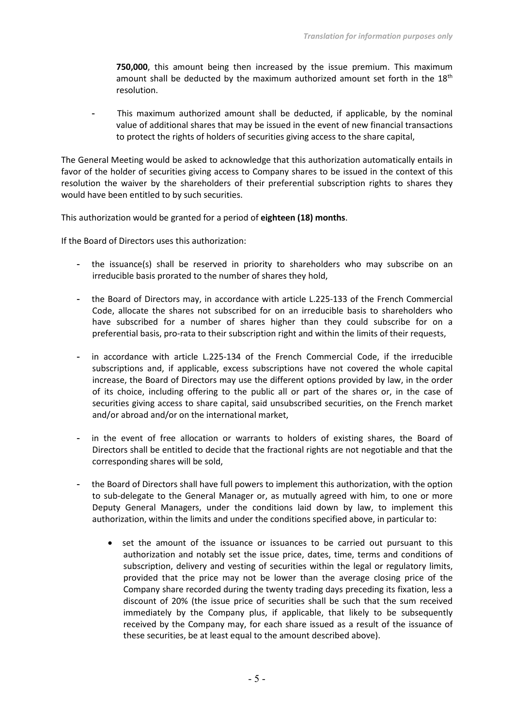**750,000**, this amount being then increased by the issue premium. This maximum amount shall be deducted by the maximum authorized amount set forth in the  $18<sup>th</sup>$ resolution.

This maximum authorized amount shall be deducted, if applicable, by the nominal value of additional shares that may be issued in the event of new financial transactions to protect the rights of holders of securities giving access to the share capital,

The General Meeting would be asked to acknowledge that this authorization automatically entails in favor of the holder of securities giving access to Company shares to be issued in the context of this resolution the waiver by the shareholders of their preferential subscription rights to shares they would have been entitled to by such securities.

This authorization would be granted for a period of **eighteen (18) months**.

If the Board of Directors uses this authorization:

- the issuance(s) shall be reserved in priority to shareholders who may subscribe on an irreducible basis prorated to the number of shares they hold,
- the Board of Directors may, in accordance with article L.225-133 of the French Commercial Code, allocate the shares not subscribed for on an irreducible basis to shareholders who have subscribed for a number of shares higher than they could subscribe for on a preferential basis, pro-rata to their subscription right and within the limits of their requests,
- in accordance with article L.225-134 of the French Commercial Code, if the irreducible subscriptions and, if applicable, excess subscriptions have not covered the whole capital increase, the Board of Directors may use the different options provided by law, in the order of its choice, including offering to the public all or part of the shares or, in the case of securities giving access to share capital, said unsubscribed securities, on the French market and/or abroad and/or on the international market,
- in the event of free allocation or warrants to holders of existing shares, the Board of Directors shall be entitled to decide that the fractional rights are not negotiable and that the corresponding shares will be sold,
- the Board of Directors shall have full powers to implement this authorization, with the option to sub-delegate to the General Manager or, as mutually agreed with him, to one or more Deputy General Managers, under the conditions laid down by law, to implement this authorization, within the limits and under the conditions specified above, in particular to:
	- set the amount of the issuance or issuances to be carried out pursuant to this authorization and notably set the issue price, dates, time, terms and conditions of subscription, delivery and vesting of securities within the legal or regulatory limits, provided that the price may not be lower than the average closing price of the Company share recorded during the twenty trading days preceding its fixation, less a discount of 20% (the issue price of securities shall be such that the sum received immediately by the Company plus, if applicable, that likely to be subsequently received by the Company may, for each share issued as a result of the issuance of these securities, be at least equal to the amount described above).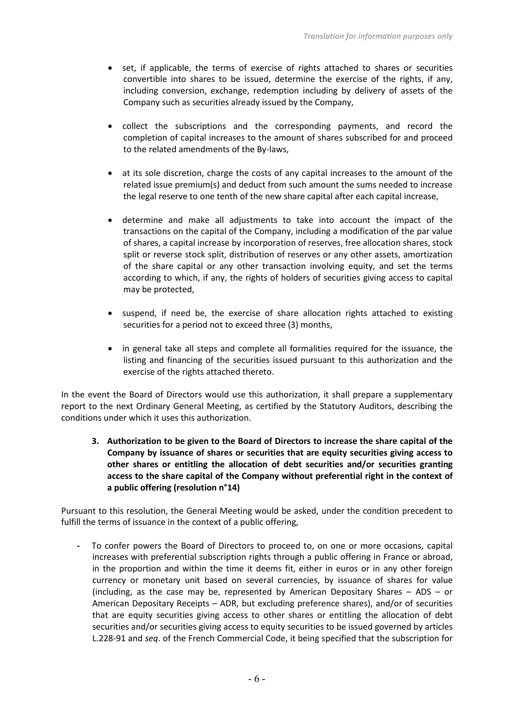- set, if applicable, the terms of exercise of rights attached to shares or securities convertible into shares to be issued, determine the exercise of the rights, if any, including conversion, exchange, redemption including by delivery of assets of the Company such as securities already issued by the Company,
- collect the subscriptions and the corresponding payments, and record the completion of capital increases to the amount of shares subscribed for and proceed to the related amendments of the By-laws,
- at its sole discretion, charge the costs of any capital increases to the amount of the related issue premium(s) and deduct from such amount the sums needed to increase the legal reserve to one tenth of the new share capital after each capital increase,
- determine and make all adjustments to take into account the impact of the transactions on the capital of the Company, including a modification of the par value of shares, a capital increase by incorporation of reserves, free allocation shares, stock split or reverse stock split, distribution of reserves or any other assets, amortization of the share capital or any other transaction involving equity, and set the terms according to which, if any, the rights of holders of securities giving access to capital may be protected,
- suspend, if need be, the exercise of share allocation rights attached to existing securities for a period not to exceed three (3) months,
- in general take all steps and complete all formalities required for the issuance, the listing and financing of the securities issued pursuant to this authorization and the exercise of the rights attached thereto.

In the event the Board of Directors would use this authorization, it shall prepare a supplementary report to the next Ordinary General Meeting, as certified by the Statutory Auditors, describing the conditions under which it uses this authorization.

**3. Authorization to be given to the Board of Directors to increase the share capital of the Company by issuance of shares or securities that are equity securities giving access to other shares or entitling the allocation of debt securities and/or securities granting access to the share capital of the Company without preferential right in the context of a public offering (resolution n°14)**

Pursuant to this resolution, the General Meeting would be asked, under the condition precedent to fulfill the terms of issuance in the context of a public offering,

- To confer powers the Board of Directors to proceed to, on one or more occasions, capital increases with preferential subscription rights through a public offering in France or abroad, in the proportion and within the time it deems fit, either in euros or in any other foreign currency or monetary unit based on several currencies, by issuance of shares for value (including, as the case may be, represented by American Depositary Shares – ADS – or American Depositary Receipts – ADR, but excluding preference shares), and/or of securities that are equity securities giving access to other shares or entitling the allocation of debt securities and/or securities giving access to equity securities to be issued governed by articles L.228-91 and *seq*. of the French Commercial Code, it being specified that the subscription for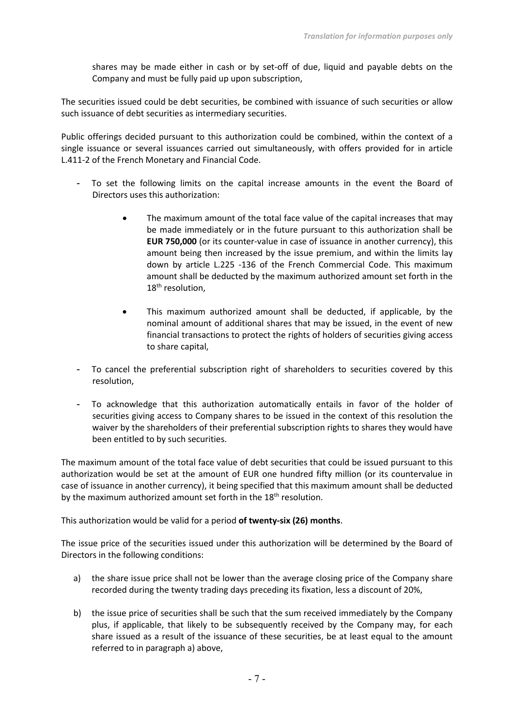shares may be made either in cash or by set-off of due, liquid and payable debts on the Company and must be fully paid up upon subscription,

The securities issued could be debt securities, be combined with issuance of such securities or allow such issuance of debt securities as intermediary securities.

Public offerings decided pursuant to this authorization could be combined, within the context of a single issuance or several issuances carried out simultaneously, with offers provided for in article L.411-2 of the French Monetary and Financial Code.

- To set the following limits on the capital increase amounts in the event the Board of Directors uses this authorization:
	- The maximum amount of the total face value of the capital increases that may be made immediately or in the future pursuant to this authorization shall be **EUR 750,000** (or its counter-value in case of issuance in another currency), this amount being then increased by the issue premium, and within the limits lay down by article L.225 -136 of the French Commercial Code. This maximum amount shall be deducted by the maximum authorized amount set forth in the 18<sup>th</sup> resolution,
	- This maximum authorized amount shall be deducted, if applicable, by the nominal amount of additional shares that may be issued, in the event of new financial transactions to protect the rights of holders of securities giving access to share capital,
- To cancel the preferential subscription right of shareholders to securities covered by this resolution,
- To acknowledge that this authorization automatically entails in favor of the holder of securities giving access to Company shares to be issued in the context of this resolution the waiver by the shareholders of their preferential subscription rights to shares they would have been entitled to by such securities.

The maximum amount of the total face value of debt securities that could be issued pursuant to this authorization would be set at the amount of EUR one hundred fifty million (or its countervalue in case of issuance in another currency), it being specified that this maximum amount shall be deducted by the maximum authorized amount set forth in the 18<sup>th</sup> resolution.

This authorization would be valid for a period **of twenty-six (26) months**.

The issue price of the securities issued under this authorization will be determined by the Board of Directors in the following conditions:

- a) the share issue price shall not be lower than the average closing price of the Company share recorded during the twenty trading days preceding its fixation, less a discount of 20%,
- b) the issue price of securities shall be such that the sum received immediately by the Company plus, if applicable, that likely to be subsequently received by the Company may, for each share issued as a result of the issuance of these securities, be at least equal to the amount referred to in paragraph a) above,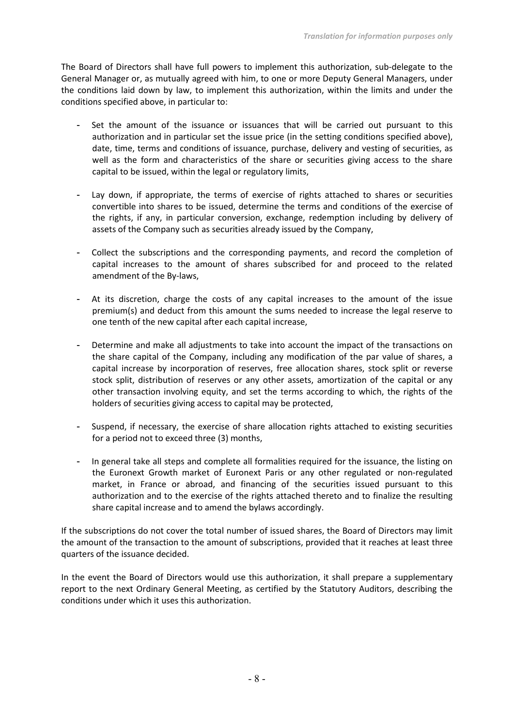The Board of Directors shall have full powers to implement this authorization, sub-delegate to the General Manager or, as mutually agreed with him, to one or more Deputy General Managers, under the conditions laid down by law, to implement this authorization, within the limits and under the conditions specified above, in particular to:

- Set the amount of the issuance or issuances that will be carried out pursuant to this authorization and in particular set the issue price (in the setting conditions specified above), date, time, terms and conditions of issuance, purchase, delivery and vesting of securities, as well as the form and characteristics of the share or securities giving access to the share capital to be issued, within the legal or regulatory limits,
- Lay down, if appropriate, the terms of exercise of rights attached to shares or securities convertible into shares to be issued, determine the terms and conditions of the exercise of the rights, if any, in particular conversion, exchange, redemption including by delivery of assets of the Company such as securities already issued by the Company,
- Collect the subscriptions and the corresponding payments, and record the completion of capital increases to the amount of shares subscribed for and proceed to the related amendment of the By-laws,
- At its discretion, charge the costs of any capital increases to the amount of the issue premium(s) and deduct from this amount the sums needed to increase the legal reserve to one tenth of the new capital after each capital increase,
- Determine and make all adjustments to take into account the impact of the transactions on the share capital of the Company, including any modification of the par value of shares, a capital increase by incorporation of reserves, free allocation shares, stock split or reverse stock split, distribution of reserves or any other assets, amortization of the capital or any other transaction involving equity, and set the terms according to which, the rights of the holders of securities giving access to capital may be protected,
- Suspend, if necessary, the exercise of share allocation rights attached to existing securities for a period not to exceed three (3) months,
- In general take all steps and complete all formalities required for the issuance, the listing on the Euronext Growth market of Euronext Paris or any other regulated or non-regulated market, in France or abroad, and financing of the securities issued pursuant to this authorization and to the exercise of the rights attached thereto and to finalize the resulting share capital increase and to amend the bylaws accordingly.

If the subscriptions do not cover the total number of issued shares, the Board of Directors may limit the amount of the transaction to the amount of subscriptions, provided that it reaches at least three quarters of the issuance decided.

In the event the Board of Directors would use this authorization, it shall prepare a supplementary report to the next Ordinary General Meeting, as certified by the Statutory Auditors, describing the conditions under which it uses this authorization.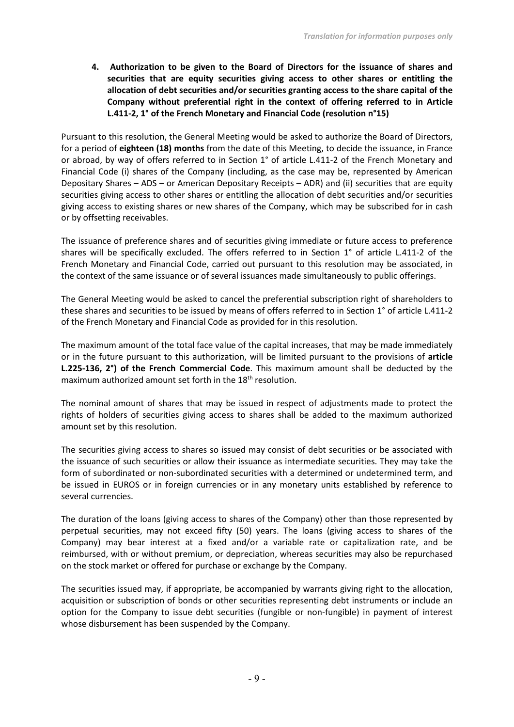**4. Authorization to be given to the Board of Directors for the issuance of shares and securities that are equity securities giving access to other shares or entitling the allocation of debt securities and/or securities granting access to the share capital of the Company without preferential right in the context of offering referred to in Article L.411-2, 1° of the French Monetary and Financial Code (resolution n°15)**

Pursuant to this resolution, the General Meeting would be asked to authorize the Board of Directors, for a period of **eighteen (18) months** from the date of this Meeting, to decide the issuance, in France or abroad, by way of offers referred to in Section 1° of article L.411-2 of the French Monetary and Financial Code (i) shares of the Company (including, as the case may be, represented by American Depositary Shares – ADS – or American Depositary Receipts – ADR) and (ii) securities that are equity securities giving access to other shares or entitling the allocation of debt securities and/or securities giving access to existing shares or new shares of the Company, which may be subscribed for in cash or by offsetting receivables.

The issuance of preference shares and of securities giving immediate or future access to preference shares will be specifically excluded. The offers referred to in Section 1° of article L.411-2 of the French Monetary and Financial Code, carried out pursuant to this resolution may be associated, in the context of the same issuance or of several issuances made simultaneously to public offerings.

The General Meeting would be asked to cancel the preferential subscription right of shareholders to these shares and securities to be issued by means of offers referred to in Section 1° of article L.411-2 of the French Monetary and Financial Code as provided for in this resolution.

The maximum amount of the total face value of the capital increases, that may be made immediately or in the future pursuant to this authorization, will be limited pursuant to the provisions of **article L.225-136, 2°) of the French Commercial Code**. This maximum amount shall be deducted by the maximum authorized amount set forth in the 18<sup>th</sup> resolution.

The nominal amount of shares that may be issued in respect of adjustments made to protect the rights of holders of securities giving access to shares shall be added to the maximum authorized amount set by this resolution.

The securities giving access to shares so issued may consist of debt securities or be associated with the issuance of such securities or allow their issuance as intermediate securities. They may take the form of subordinated or non-subordinated securities with a determined or undetermined term, and be issued in EUROS or in foreign currencies or in any monetary units established by reference to several currencies.

The duration of the loans (giving access to shares of the Company) other than those represented by perpetual securities, may not exceed fifty (50) years. The loans (giving access to shares of the Company) may bear interest at a fixed and/or a variable rate or capitalization rate, and be reimbursed, with or without premium, or depreciation, whereas securities may also be repurchased on the stock market or offered for purchase or exchange by the Company.

The securities issued may, if appropriate, be accompanied by warrants giving right to the allocation, acquisition or subscription of bonds or other securities representing debt instruments or include an option for the Company to issue debt securities (fungible or non-fungible) in payment of interest whose disbursement has been suspended by the Company.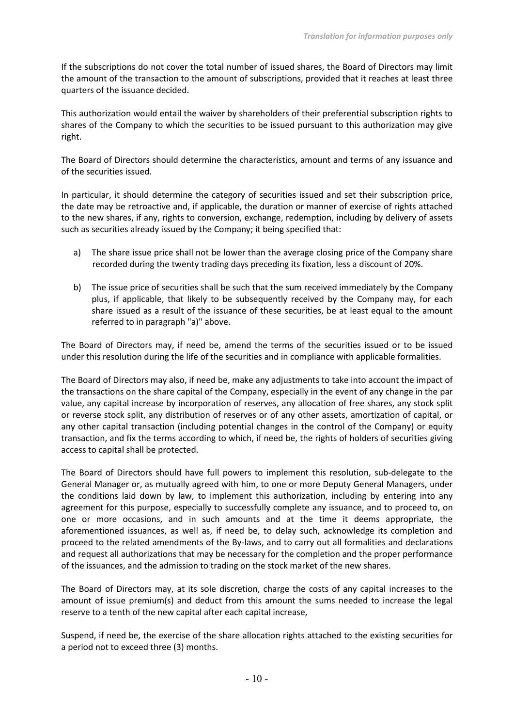If the subscriptions do not cover the total number of issued shares, the Board of Directors may limit the amount of the transaction to the amount of subscriptions, provided that it reaches at least three quarters of the issuance decided.

This authorization would entail the waiver by shareholders of their preferential subscription rights to shares of the Company to which the securities to be issued pursuant to this authorization may give right.

The Board of Directors should determine the characteristics, amount and terms of any issuance and of the securities issued.

In particular, it should determine the category of securities issued and set their subscription price, the date may be retroactive and, if applicable, the duration or manner of exercise of rights attached to the new shares, if any, rights to conversion, exchange, redemption, including by delivery of assets such as securities already issued by the Company; it being specified that:

- a) The share issue price shall not be lower than the average closing price of the Company share recorded during the twenty trading days preceding its fixation, less a discount of 20%.
- b) The issue price of securities shall be such that the sum received immediately by the Company plus, if applicable, that likely to be subsequently received by the Company may, for each share issued as a result of the issuance of these securities, be at least equal to the amount referred to in paragraph "a)" above.

The Board of Directors may, if need be, amend the terms of the securities issued or to be issued under this resolution during the life of the securities and in compliance with applicable formalities.

The Board of Directors may also, if need be, make any adjustments to take into account the impact of the transactions on the share capital of the Company, especially in the event of any change in the par value, any capital increase by incorporation of reserves, any allocation of free shares, any stock split or reverse stock split, any distribution of reserves or of any other assets, amortization of capital, or any other capital transaction (including potential changes in the control of the Company) or equity transaction, and fix the terms according to which, if need be, the rights of holders of securities giving access to capital shall be protected.

The Board of Directors should have full powers to implement this resolution, sub-delegate to the General Manager or, as mutually agreed with him, to one or more Deputy General Managers, under the conditions laid down by law, to implement this authorization, including by entering into any agreement for this purpose, especially to successfully complete any issuance, and to proceed to, on one or more occasions, and in such amounts and at the time it deems appropriate, the aforementioned issuances, as well as, if need be, to delay such, acknowledge its completion and proceed to the related amendments of the By-laws, and to carry out all formalities and declarations and request all authorizations that may be necessary for the completion and the proper performance of the issuances, and the admission to trading on the stock market of the new shares.

The Board of Directors may, at its sole discretion, charge the costs of any capital increases to the amount of issue premium(s) and deduct from this amount the sums needed to increase the legal reserve to a tenth of the new capital after each capital increase,

Suspend, if need be, the exercise of the share allocation rights attached to the existing securities for a period not to exceed three (3) months.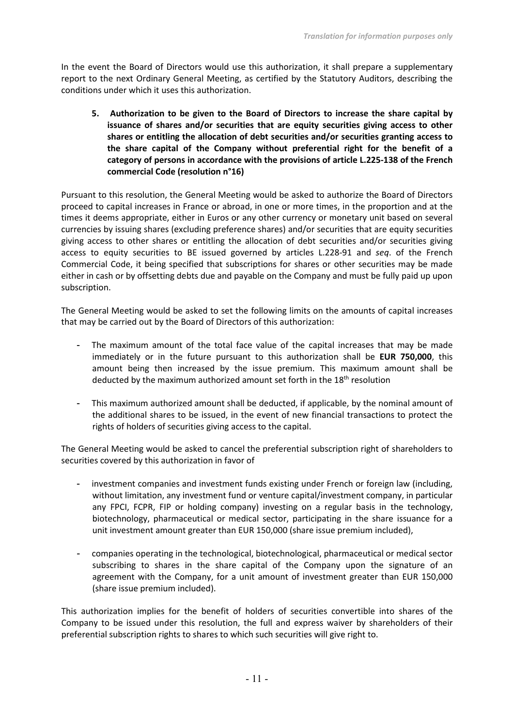In the event the Board of Directors would use this authorization, it shall prepare a supplementary report to the next Ordinary General Meeting, as certified by the Statutory Auditors, describing the conditions under which it uses this authorization.

**5. Authorization to be given to the Board of Directors to increase the share capital by issuance of shares and/or securities that are equity securities giving access to other shares or entitling the allocation of debt securities and/or securities granting access to the share capital of the Company without preferential right for the benefit of a category of persons in accordance with the provisions of article L.225-138 of the French commercial Code (resolution n°16)**

Pursuant to this resolution, the General Meeting would be asked to authorize the Board of Directors proceed to capital increases in France or abroad, in one or more times, in the proportion and at the times it deems appropriate, either in Euros or any other currency or monetary unit based on several currencies by issuing shares (excluding preference shares) and/or securities that are equity securities giving access to other shares or entitling the allocation of debt securities and/or securities giving access to equity securities to BE issued governed by articles L.228-91 and *seq*. of the French Commercial Code, it being specified that subscriptions for shares or other securities may be made either in cash or by offsetting debts due and payable on the Company and must be fully paid up upon subscription.

The General Meeting would be asked to set the following limits on the amounts of capital increases that may be carried out by the Board of Directors of this authorization:

- The maximum amount of the total face value of the capital increases that may be made immediately or in the future pursuant to this authorization shall be **EUR 750,000**, this amount being then increased by the issue premium. This maximum amount shall be deducted by the maximum authorized amount set forth in the 18<sup>th</sup> resolution
- This maximum authorized amount shall be deducted, if applicable, by the nominal amount of the additional shares to be issued, in the event of new financial transactions to protect the rights of holders of securities giving access to the capital.

The General Meeting would be asked to cancel the preferential subscription right of shareholders to securities covered by this authorization in favor of

- investment companies and investment funds existing under French or foreign law (including, without limitation, any investment fund or venture capital/investment company, in particular any FPCI, FCPR, FIP or holding company) investing on a regular basis in the technology, biotechnology, pharmaceutical or medical sector, participating in the share issuance for a unit investment amount greater than EUR 150,000 (share issue premium included),
- companies operating in the technological, biotechnological, pharmaceutical or medical sector subscribing to shares in the share capital of the Company upon the signature of an agreement with the Company, for a unit amount of investment greater than EUR 150,000 (share issue premium included).

This authorization implies for the benefit of holders of securities convertible into shares of the Company to be issued under this resolution, the full and express waiver by shareholders of their preferential subscription rights to shares to which such securities will give right to.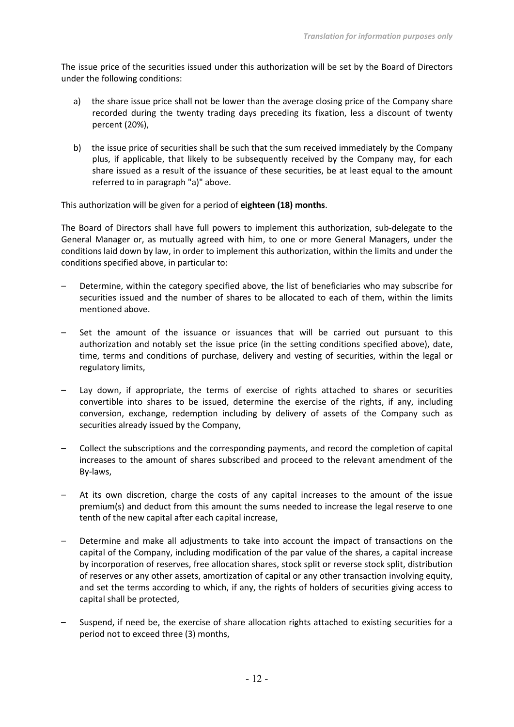The issue price of the securities issued under this authorization will be set by the Board of Directors under the following conditions:

- a) the share issue price shall not be lower than the average closing price of the Company share recorded during the twenty trading days preceding its fixation, less a discount of twenty percent (20%),
- b) the issue price of securities shall be such that the sum received immediately by the Company plus, if applicable, that likely to be subsequently received by the Company may, for each share issued as a result of the issuance of these securities, be at least equal to the amount referred to in paragraph "a)" above.

This authorization will be given for a period of **eighteen (18) months**.

The Board of Directors shall have full powers to implement this authorization, sub-delegate to the General Manager or, as mutually agreed with him, to one or more General Managers, under the conditions laid down by law, in order to implement this authorization, within the limits and under the conditions specified above, in particular to:

- Determine, within the category specified above, the list of beneficiaries who may subscribe for securities issued and the number of shares to be allocated to each of them, within the limits mentioned above.
- Set the amount of the issuance or issuances that will be carried out pursuant to this authorization and notably set the issue price (in the setting conditions specified above), date, time, terms and conditions of purchase, delivery and vesting of securities, within the legal or regulatory limits,
- Lay down, if appropriate, the terms of exercise of rights attached to shares or securities convertible into shares to be issued, determine the exercise of the rights, if any, including conversion, exchange, redemption including by delivery of assets of the Company such as securities already issued by the Company,
- Collect the subscriptions and the corresponding payments, and record the completion of capital increases to the amount of shares subscribed and proceed to the relevant amendment of the By-laws,
- At its own discretion, charge the costs of any capital increases to the amount of the issue premium(s) and deduct from this amount the sums needed to increase the legal reserve to one tenth of the new capital after each capital increase,
- Determine and make all adjustments to take into account the impact of transactions on the capital of the Company, including modification of the par value of the shares, a capital increase by incorporation of reserves, free allocation shares, stock split or reverse stock split, distribution of reserves or any other assets, amortization of capital or any other transaction involving equity, and set the terms according to which, if any, the rights of holders of securities giving access to capital shall be protected,
- Suspend, if need be, the exercise of share allocation rights attached to existing securities for a period not to exceed three (3) months,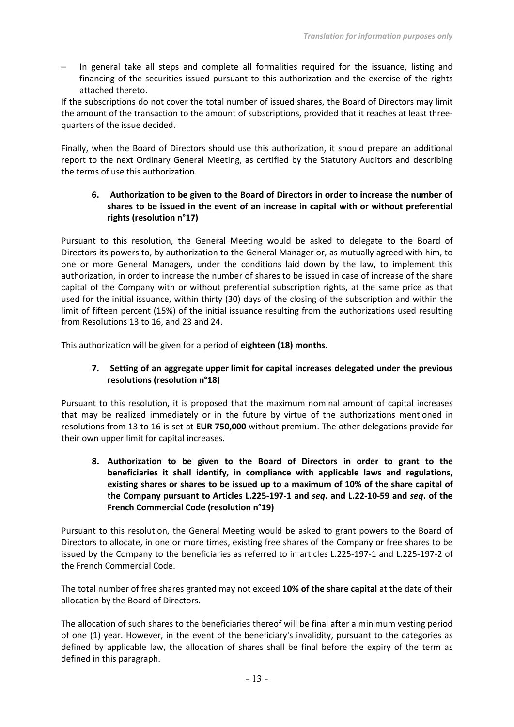– In general take all steps and complete all formalities required for the issuance, listing and financing of the securities issued pursuant to this authorization and the exercise of the rights attached thereto.

If the subscriptions do not cover the total number of issued shares, the Board of Directors may limit the amount of the transaction to the amount of subscriptions, provided that it reaches at least threequarters of the issue decided.

Finally, when the Board of Directors should use this authorization, it should prepare an additional report to the next Ordinary General Meeting, as certified by the Statutory Auditors and describing the terms of use this authorization.

# **6. Authorization to be given to the Board of Directors in order to increase the number of shares to be issued in the event of an increase in capital with or without preferential rights (resolution n°17)**

Pursuant to this resolution, the General Meeting would be asked to delegate to the Board of Directors its powers to, by authorization to the General Manager or, as mutually agreed with him, to one or more General Managers, under the conditions laid down by the law, to implement this authorization, in order to increase the number of shares to be issued in case of increase of the share capital of the Company with or without preferential subscription rights, at the same price as that used for the initial issuance, within thirty (30) days of the closing of the subscription and within the limit of fifteen percent (15%) of the initial issuance resulting from the authorizations used resulting from Resolutions 13 to 16, and 23 and 24.

This authorization will be given for a period of **eighteen (18) months**.

# **7. Setting of an aggregate upper limit for capital increases delegated under the previous resolutions (resolution n°18)**

Pursuant to this resolution, it is proposed that the maximum nominal amount of capital increases that may be realized immediately or in the future by virtue of the authorizations mentioned in resolutions from 13 to 16 is set at **EUR 750,000** without premium. The other delegations provide for their own upper limit for capital increases.

**8. Authorization to be given to the Board of Directors in order to grant to the beneficiaries it shall identify, in compliance with applicable laws and regulations, existing shares or shares to be issued up to a maximum of 10% of the share capital of the Company pursuant to Articles L.225-197-1 and** *seq***. and L.22-10-59 and** *seq***. of the French Commercial Code (resolution n°19)**

Pursuant to this resolution, the General Meeting would be asked to grant powers to the Board of Directors to allocate, in one or more times, existing free shares of the Company or free shares to be issued by the Company to the beneficiaries as referred to in articles L.225-197-1 and L.225-197-2 of the French Commercial Code.

The total number of free shares granted may not exceed **10% of the share capital** at the date of their allocation by the Board of Directors.

The allocation of such shares to the beneficiaries thereof will be final after a minimum vesting period of one (1) year. However, in the event of the beneficiary's invalidity, pursuant to the categories as defined by applicable law, the allocation of shares shall be final before the expiry of the term as defined in this paragraph.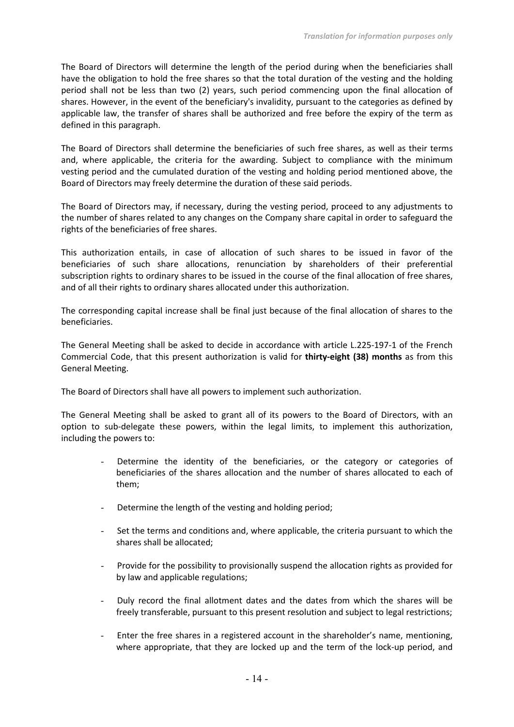The Board of Directors will determine the length of the period during when the beneficiaries shall have the obligation to hold the free shares so that the total duration of the vesting and the holding period shall not be less than two (2) years, such period commencing upon the final allocation of shares. However, in the event of the beneficiary's invalidity, pursuant to the categories as defined by applicable law, the transfer of shares shall be authorized and free before the expiry of the term as defined in this paragraph.

The Board of Directors shall determine the beneficiaries of such free shares, as well as their terms and, where applicable, the criteria for the awarding. Subject to compliance with the minimum vesting period and the cumulated duration of the vesting and holding period mentioned above, the Board of Directors may freely determine the duration of these said periods.

The Board of Directors may, if necessary, during the vesting period, proceed to any adjustments to the number of shares related to any changes on the Company share capital in order to safeguard the rights of the beneficiaries of free shares.

This authorization entails, in case of allocation of such shares to be issued in favor of the beneficiaries of such share allocations, renunciation by shareholders of their preferential subscription rights to ordinary shares to be issued in the course of the final allocation of free shares, and of all their rights to ordinary shares allocated under this authorization.

The corresponding capital increase shall be final just because of the final allocation of shares to the beneficiaries.

The General Meeting shall be asked to decide in accordance with article L.225-197-1 of the French Commercial Code, that this present authorization is valid for **thirty-eight (38) months** as from this General Meeting.

The Board of Directors shall have all powers to implement such authorization.

The General Meeting shall be asked to grant all of its powers to the Board of Directors, with an option to sub-delegate these powers, within the legal limits, to implement this authorization, including the powers to:

- Determine the identity of the beneficiaries, or the category or categories of beneficiaries of the shares allocation and the number of shares allocated to each of them;
- Determine the length of the vesting and holding period;
- Set the terms and conditions and, where applicable, the criteria pursuant to which the shares shall be allocated;
- Provide for the possibility to provisionally suspend the allocation rights as provided for by law and applicable regulations;
- Duly record the final allotment dates and the dates from which the shares will be freely transferable, pursuant to this present resolution and subject to legal restrictions;
- Enter the free shares in a registered account in the shareholder's name, mentioning, where appropriate, that they are locked up and the term of the lock-up period, and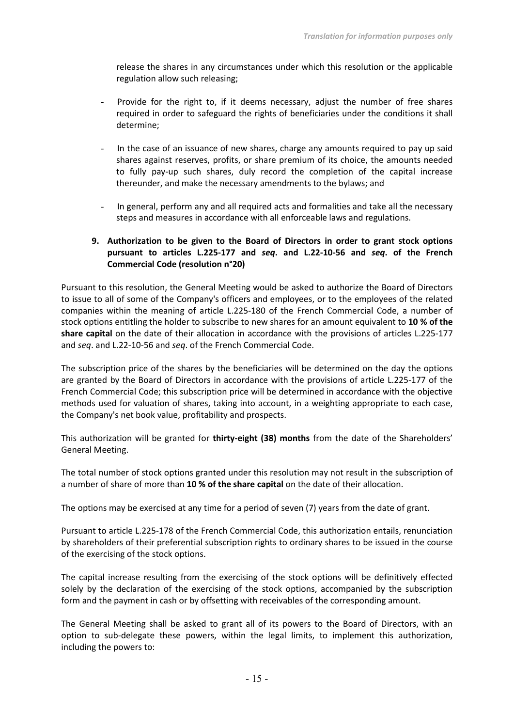release the shares in any circumstances under which this resolution or the applicable regulation allow such releasing;

- Provide for the right to, if it deems necessary, adjust the number of free shares required in order to safeguard the rights of beneficiaries under the conditions it shall determine;
- In the case of an issuance of new shares, charge any amounts required to pay up said shares against reserves, profits, or share premium of its choice, the amounts needed to fully pay-up such shares, duly record the completion of the capital increase thereunder, and make the necessary amendments to the bylaws; and
- In general, perform any and all required acts and formalities and take all the necessary steps and measures in accordance with all enforceable laws and regulations.

# **9. Authorization to be given to the Board of Directors in order to grant stock options pursuant to articles L.225-177 and** *seq***. and L.22-10-56 and** *seq***. of the French Commercial Code (resolution n°20)**

Pursuant to this resolution, the General Meeting would be asked to authorize the Board of Directors to issue to all of some of the Company's officers and employees, or to the employees of the related companies within the meaning of article L.225-180 of the French Commercial Code, a number of stock options entitling the holder to subscribe to new shares for an amount equivalent to **10 % of the share capital** on the date of their allocation in accordance with the provisions of articles L.225-177 and *seq*. and L.22-10-56 and *seq*. of the French Commercial Code.

The subscription price of the shares by the beneficiaries will be determined on the day the options are granted by the Board of Directors in accordance with the provisions of article L.225-177 of the French Commercial Code; this subscription price will be determined in accordance with the objective methods used for valuation of shares, taking into account, in a weighting appropriate to each case, the Company's net book value, profitability and prospects.

This authorization will be granted for **thirty-eight (38) months** from the date of the Shareholders' General Meeting.

The total number of stock options granted under this resolution may not result in the subscription of a number of share of more than **10 % of the share capital** on the date of their allocation.

The options may be exercised at any time for a period of seven (7) years from the date of grant.

Pursuant to article L.225-178 of the French Commercial Code, this authorization entails, renunciation by shareholders of their preferential subscription rights to ordinary shares to be issued in the course of the exercising of the stock options.

The capital increase resulting from the exercising of the stock options will be definitively effected solely by the declaration of the exercising of the stock options, accompanied by the subscription form and the payment in cash or by offsetting with receivables of the corresponding amount.

The General Meeting shall be asked to grant all of its powers to the Board of Directors, with an option to sub-delegate these powers, within the legal limits, to implement this authorization, including the powers to: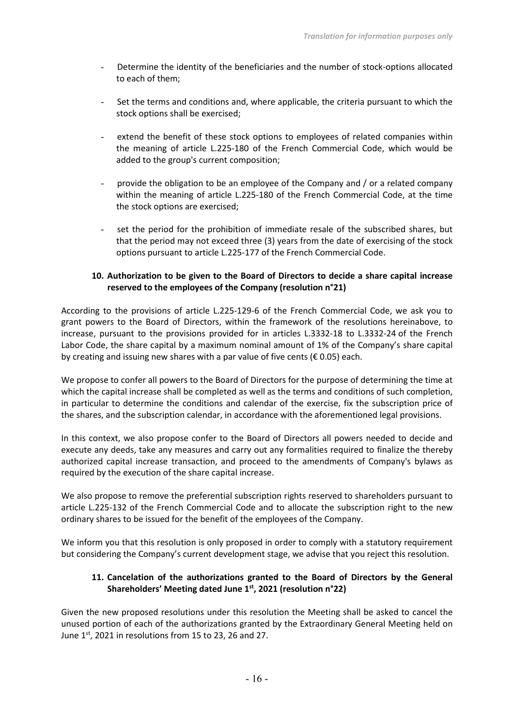- Determine the identity of the beneficiaries and the number of stock-options allocated to each of them;
- Set the terms and conditions and, where applicable, the criteria pursuant to which the stock options shall be exercised;
- extend the benefit of these stock options to employees of related companies within the meaning of article L.225-180 of the French Commercial Code, which would be added to the group's current composition;
- provide the obligation to be an employee of the Company and / or a related company within the meaning of article L.225-180 of the French Commercial Code, at the time the stock options are exercised;
- set the period for the prohibition of immediate resale of the subscribed shares, but that the period may not exceed three (3) years from the date of exercising of the stock options pursuant to article L.225-177 of the French Commercial Code.

# **10. Authorization to be given to the Board of Directors to decide a share capital increase reserved to the employees of the Company (resolution n°21)**

According to the provisions of article L.225-129-6 of the French Commercial Code, we ask you to grant powers to the Board of Directors, within the framework of the resolutions hereinabove, to increase, pursuant to the provisions provided for in articles L.3332-18 to L.3332-24 of the French Labor Code, the share capital by a maximum nominal amount of 1% of the Company's share capital by creating and issuing new shares with a par value of five cents ( $\epsilon$  0.05) each.

We propose to confer all powers to the Board of Directors for the purpose of determining the time at which the capital increase shall be completed as well as the terms and conditions of such completion, in particular to determine the conditions and calendar of the exercise, fix the subscription price of the shares, and the subscription calendar, in accordance with the aforementioned legal provisions.

In this context, we also propose confer to the Board of Directors all powers needed to decide and execute any deeds, take any measures and carry out any formalities required to finalize the thereby authorized capital increase transaction, and proceed to the amendments of Company's bylaws as required by the execution of the share capital increase.

We also propose to remove the preferential subscription rights reserved to shareholders pursuant to article L.225-132 of the French Commercial Code and to allocate the subscription right to the new ordinary shares to be issued for the benefit of the employees of the Company.

We inform you that this resolution is only proposed in order to comply with a statutory requirement but considering the Company's current development stage, we advise that you reject this resolution.

# **11. Cancelation of the authorizations granted to the Board of Directors by the General Shareholders' Meeting dated June 1st, 2021 (resolution n°22)**

Given the new proposed resolutions under this resolution the Meeting shall be asked to cancel the unused portion of each of the authorizations granted by the Extraordinary General Meeting held on June  $1<sup>st</sup>$ , 2021 in resolutions from 15 to 23, 26 and 27.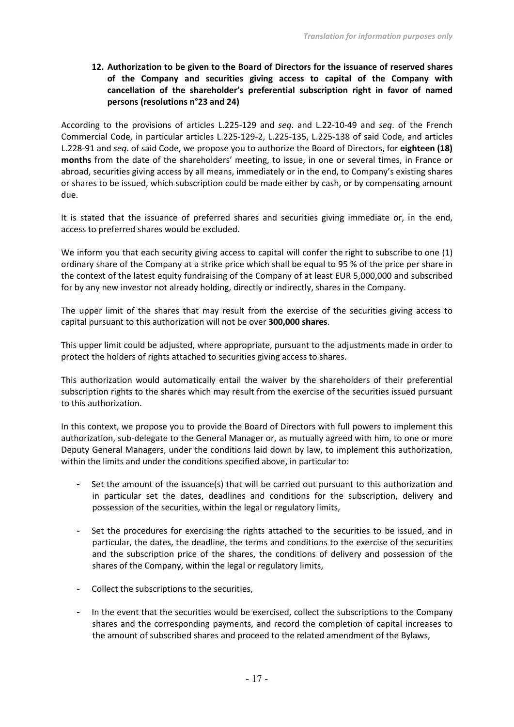# **12. Authorization to be given to the Board of Directors for the issuance of reserved shares of the Company and securities giving access to capital of the Company with cancellation of the shareholder's preferential subscription right in favor of named persons (resolutions n°23 and 24)**

According to the provisions of articles L.225-129 and *seq*. and L.22-10-49 and *seq*. of the French Commercial Code, in particular articles L.225-129-2, L.225-135, L.225-138 of said Code, and articles L.228-91 and *seq*. of said Code, we propose you to authorize the Board of Directors, for **eighteen (18) months** from the date of the shareholders' meeting, to issue, in one or several times, in France or abroad, securities giving access by all means, immediately or in the end, to Company's existing shares or shares to be issued, which subscription could be made either by cash, or by compensating amount due.

It is stated that the issuance of preferred shares and securities giving immediate or, in the end, access to preferred shares would be excluded.

We inform you that each security giving access to capital will confer the right to subscribe to one (1) ordinary share of the Company at a strike price which shall be equal to 95 % of the price per share in the context of the latest equity fundraising of the Company of at least EUR 5,000,000 and subscribed for by any new investor not already holding, directly or indirectly, shares in the Company.

The upper limit of the shares that may result from the exercise of the securities giving access to capital pursuant to this authorization will not be over **300,000 shares**.

This upper limit could be adjusted, where appropriate, pursuant to the adjustments made in order to protect the holders of rights attached to securities giving access to shares.

This authorization would automatically entail the waiver by the shareholders of their preferential subscription rights to the shares which may result from the exercise of the securities issued pursuant to this authorization.

In this context, we propose you to provide the Board of Directors with full powers to implement this authorization, sub-delegate to the General Manager or, as mutually agreed with him, to one or more Deputy General Managers, under the conditions laid down by law, to implement this authorization, within the limits and under the conditions specified above, in particular to:

- Set the amount of the issuance(s) that will be carried out pursuant to this authorization and in particular set the dates, deadlines and conditions for the subscription, delivery and possession of the securities, within the legal or regulatory limits,
- Set the procedures for exercising the rights attached to the securities to be issued, and in particular, the dates, the deadline, the terms and conditions to the exercise of the securities and the subscription price of the shares, the conditions of delivery and possession of the shares of the Company, within the legal or regulatory limits,
- Collect the subscriptions to the securities,
- In the event that the securities would be exercised, collect the subscriptions to the Company shares and the corresponding payments, and record the completion of capital increases to the amount of subscribed shares and proceed to the related amendment of the Bylaws,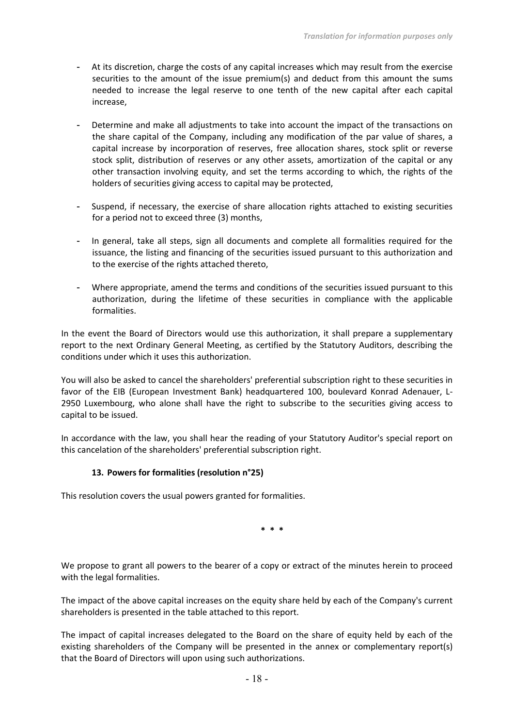- At its discretion, charge the costs of any capital increases which may result from the exercise securities to the amount of the issue premium(s) and deduct from this amount the sums needed to increase the legal reserve to one tenth of the new capital after each capital increase,
- Determine and make all adjustments to take into account the impact of the transactions on the share capital of the Company, including any modification of the par value of shares, a capital increase by incorporation of reserves, free allocation shares, stock split or reverse stock split, distribution of reserves or any other assets, amortization of the capital or any other transaction involving equity, and set the terms according to which, the rights of the holders of securities giving access to capital may be protected,
- Suspend, if necessary, the exercise of share allocation rights attached to existing securities for a period not to exceed three (3) months,
- In general, take all steps, sign all documents and complete all formalities required for the issuance, the listing and financing of the securities issued pursuant to this authorization and to the exercise of the rights attached thereto,
- Where appropriate, amend the terms and conditions of the securities issued pursuant to this authorization, during the lifetime of these securities in compliance with the applicable formalities.

In the event the Board of Directors would use this authorization, it shall prepare a supplementary report to the next Ordinary General Meeting, as certified by the Statutory Auditors, describing the conditions under which it uses this authorization.

You will also be asked to cancel the shareholders' preferential subscription right to these securities in favor of the EIB (European Investment Bank) headquartered 100, boulevard Konrad Adenauer, L-2950 Luxembourg, who alone shall have the right to subscribe to the securities giving access to capital to be issued.

In accordance with the law, you shall hear the reading of your Statutory Auditor's special report on this cancelation of the shareholders' preferential subscription right.

# **13. Powers for formalities (resolution n°25)**

This resolution covers the usual powers granted for formalities.

**\* \* \***

We propose to grant all powers to the bearer of a copy or extract of the minutes herein to proceed with the legal formalities.

The impact of the above capital increases on the equity share held by each of the Company's current shareholders is presented in the table attached to this report.

The impact of capital increases delegated to the Board on the share of equity held by each of the existing shareholders of the Company will be presented in the annex or complementary report(s) that the Board of Directors will upon using such authorizations.